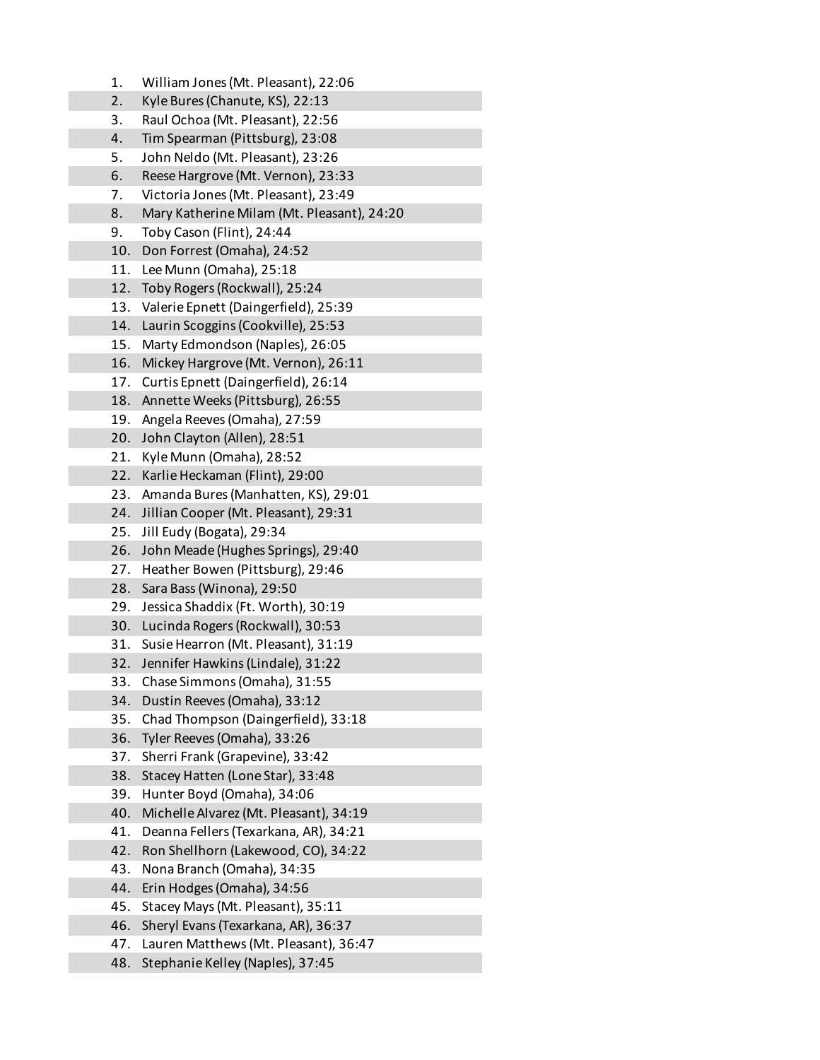- 1. William Jones (Mt. Pleasant), 22:06
- 2. Kyle Bures (Chanute, KS), 22:13
- 3. Raul Ochoa (Mt. Pleasant), 22:56
- 4. Tim Spearman (Pittsburg), 23:08
- 5. John Neldo (Mt. Pleasant), 23:26
- 6. Reese Hargrove (Mt. Vernon), 23:33
- 7. Victoria Jones (Mt. Pleasant), 23:49
- 8. Mary Katherine Milam (Mt. Pleasant), 24:20
- 9. Toby Cason (Flint), 24:44
- 10. Don Forrest (Omaha), 24:52
- 11. Lee Munn (Omaha), 25:18
- 12. Toby Rogers (Rockwall), 25:24
- 13. Valerie Epnett (Daingerfield), 25:39
- 14. Laurin Scoggins (Cookville), 25:53
- 15. Marty Edmondson (Naples), 26:05
- 16. Mickey Hargrove (Mt. Vernon), 26:11
- 17. Curtis Epnett (Daingerfield), 26:14
- 18. Annette Weeks (Pittsburg), 26:55
- 19. Angela Reeves (Omaha), 27:59
- 20. John Clayton (Allen), 28:51
- 21. Kyle Munn (Omaha), 28:52
- 22. Karlie Heckaman (Flint), 29:00
- 23. Amanda Bures (Manhatten, KS), 29:01
- 24. Jillian Cooper (Mt. Pleasant), 29:31
- 25. Jill Eudy (Bogata), 29:34
- 26. John Meade (Hughes Springs), 29:40
- 27. Heather Bowen (Pittsburg), 29:46
- 28. Sara Bass (Winona), 29:50
- 29. Jessica Shaddix (Ft. Worth), 30:19
- 30. Lucinda Rogers (Rockwall), 30:53
- 31. Susie Hearron (Mt. Pleasant), 31:19
- 32. Jennifer Hawkins (Lindale), 31:22
- 33. Chase Simmons (Omaha), 31:55
- 34. Dustin Reeves (Omaha), 33:12
- 35. Chad Thompson (Daingerfield), 33:18
- 36. Tyler Reeves (Omaha), 33:26
- 37. Sherri Frank (Grapevine), 33:42
- 38. Stacey Hatten (Lone Star), 33:48
- 39. Hunter Boyd (Omaha), 34:06
- 40. Michelle Alvarez (Mt. Pleasant), 34:19
- 41. Deanna Fellers (Texarkana, AR), 34:21
- 42. Ron Shellhorn (Lakewood, CO), 34:22
- 43. Nona Branch (Omaha), 34:35
- 44. Erin Hodges (Omaha), 34:56
- 45. Stacey Mays (Mt. Pleasant), 35:11
- 46. Sheryl Evans (Texarkana, AR), 36:37
- 47. Lauren Matthews (Mt. Pleasant), 36:47
- 48. Stephanie Kelley (Naples), 37:45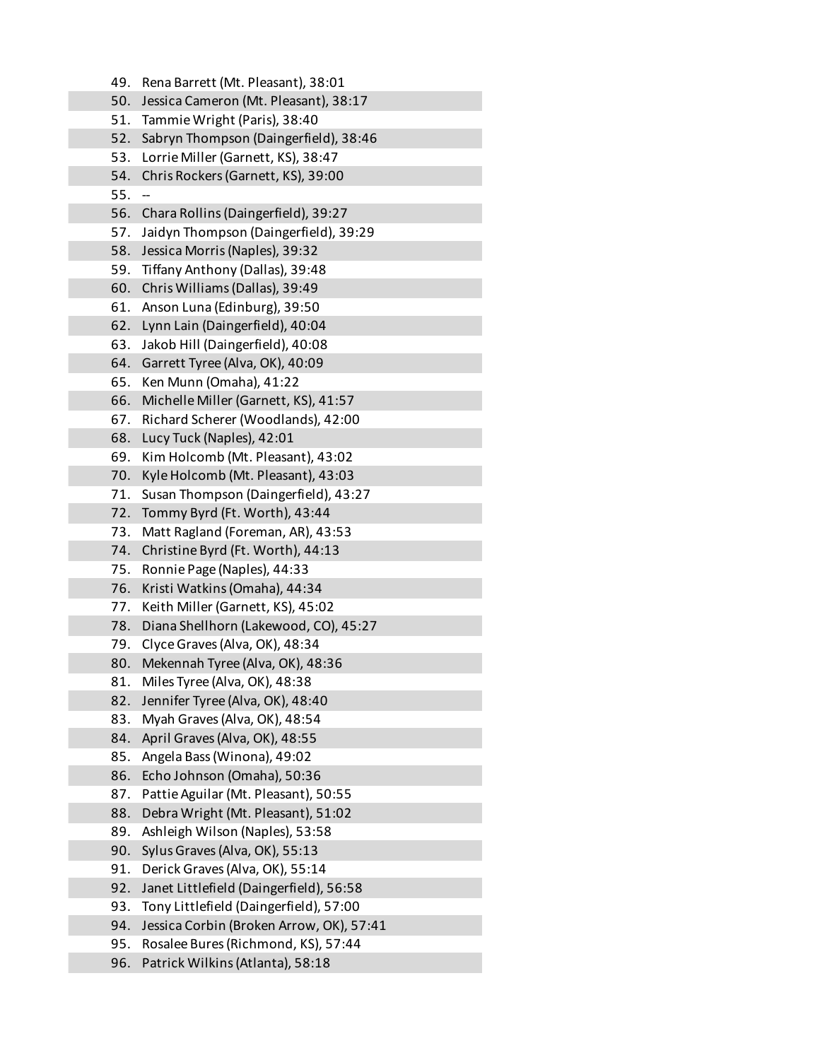- 49. Rena Barrett (Mt. Pleasant), 38:01
- 50. Jessica Cameron (Mt. Pleasant), 38:17
- 51. Tammie Wright (Paris), 38:40
- 52. Sabryn Thompson (Daingerfield), 38:46
- 53. Lorrie Miller (Garnett, KS), 38:47
- 54. Chris Rockers (Garnett, KS), 39:00
- $55. -$
- 56. Chara Rollins (Daingerfield), 39:27
- 57. Jaidyn Thompson (Daingerfield), 39:29
- 58. Jessica Morris (Naples), 39:32
- 59. Tiffany Anthony (Dallas), 39:48
- 60. Chris Williams (Dallas), 39:49
- 61. Anson Luna (Edinburg), 39:50
- 62. Lynn Lain (Daingerfield), 40:04
- 63. Jakob Hill (Daingerfield), 40:08
- 64. Garrett Tyree (Alva, OK), 40:09
- 65. Ken Munn (Omaha), 41:22
- 66. Michelle Miller (Garnett, KS), 41:57
- 67. Richard Scherer (Woodlands), 42:00
- 68. Lucy Tuck (Naples), 42:01
- 69. Kim Holcomb (Mt. Pleasant), 43:02
- 70. Kyle Holcomb (Mt. Pleasant), 43:03
- 71. Susan Thompson (Daingerfield), 43:27
- 72. Tommy Byrd (Ft. Worth), 43:44
- 73. Matt Ragland (Foreman, AR), 43:53
- 74. Christine Byrd (Ft. Worth), 44:13
- 75. Ronnie Page (Naples), 44:33
- 76. Kristi Watkins (Omaha), 44:34
- 77. Keith Miller (Garnett, KS), 45:02
- 78. Diana Shellhorn (Lakewood, CO), 45:27
- 79. Clyce Graves (Alva, OK), 48:34
- 80. Mekennah Tyree (Alva, OK), 48:36
- 81. Miles Tyree (Alva, OK), 48:38
- 82. Jennifer Tyree (Alva, OK), 48:40
- 83. Myah Graves (Alva, OK), 48:54
- 84. April Graves (Alva, OK), 48:55
- 85. Angela Bass (Winona), 49:02
- 86. Echo Johnson (Omaha), 50:36
- 87. Pattie Aguilar (Mt. Pleasant), 50:55
- 88. Debra Wright (Mt. Pleasant), 51:02
- 89. Ashleigh Wilson (Naples), 53:58
- 90. Sylus Graves (Alva, OK), 55:13
- 91. Derick Graves (Alva, OK), 55:14
- 92. Janet Littlefield (Daingerfield), 56:58
- 93. Tony Littlefield (Daingerfield), 57:00
- 94. Jessica Corbin (Broken Arrow, OK), 57:41
- 95. Rosalee Bures (Richmond, KS), 57:44
- 96. Patrick Wilkins (Atlanta), 58:18